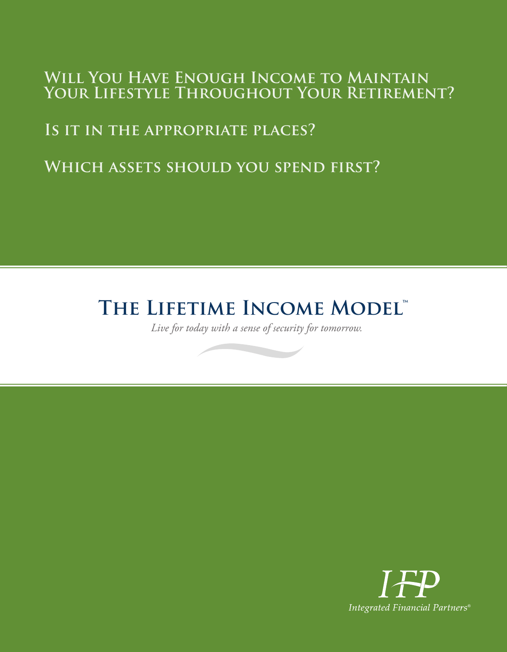# **Will You Have Enough Income to Maintain Your Lifestyle Throughout Your Retirement?**

# **Is it in the appropriate places?**

# **Which assets should you spend first?**

# **THE LIFETIME INCOME MODEL™**

*Live for today with a sense of security for tomorrow.*